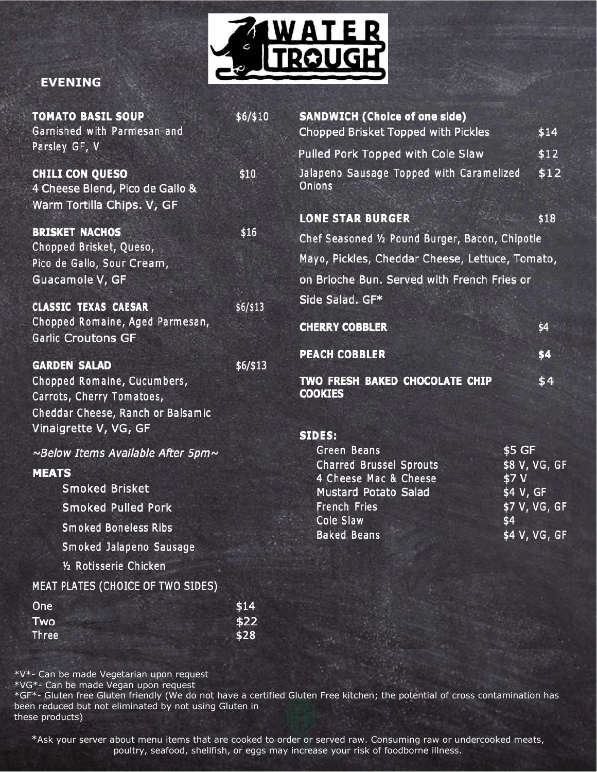

#### **EVENING**

| <b>TOMATO BASIL SOUP</b><br>Garnished with Parmesan and                                                                                       | \$6/\$10 | <b>SANDWICH (Choice of one side)</b><br>Chopped Brisket Topped with Pickles                                                | \$14                                                        |
|-----------------------------------------------------------------------------------------------------------------------------------------------|----------|----------------------------------------------------------------------------------------------------------------------------|-------------------------------------------------------------|
| Parsley GF, V                                                                                                                                 |          | Pulled Pork Topped with Cole Slaw                                                                                          | \$12                                                        |
| <b>CHILI CON QUESO</b><br>4 Cheese Blend, Pico de Gallo &<br>Warm Tortilla Chips. V, GF                                                       | \$10     | Jalapeno Sausage Topped with Caramelized<br>Onions                                                                         |                                                             |
|                                                                                                                                               |          | <b>LONE STAR BURGER</b>                                                                                                    | \$18                                                        |
| <b>BRISKET NACHOS</b><br>Chopped Brisket, Queso,                                                                                              | \$16     | Chef Seasoned 1/2 Pound Burger, Bacon, Chipotle                                                                            |                                                             |
| Pico de Gallo, Sour Cream,                                                                                                                    |          | Mayo, Pickles, Cheddar Cheese, Lettuce, Tomato,                                                                            |                                                             |
| Guacamole V, GF                                                                                                                               |          | on Brioche Bun. Served with French Fries or                                                                                |                                                             |
|                                                                                                                                               |          | Side Salad. GF*                                                                                                            |                                                             |
| <b>CLASSIC TEXAS CAESAR</b><br>Chopped Romaine, Aged Parmesan,                                                                                | \$6/\$13 |                                                                                                                            |                                                             |
| <b>Garlic Croutons GF</b>                                                                                                                     |          | <b>CHERRY COBBLER</b>                                                                                                      | \$4                                                         |
|                                                                                                                                               |          | <b>PEACH COBBLER</b>                                                                                                       | \$4                                                         |
| <b>GARDEN SALAD</b><br>Chopped Romaine, Cucumbers,<br>Carrots, Cherry Tomatoes,<br>Cheddar Cheese, Ranch or Balsamic<br>Vinaigrette V, VG, GF | \$6/\$13 | TWO FRESH BAKED CHOCOLATE CHIP<br><b>COOKIES</b>                                                                           | \$4                                                         |
|                                                                                                                                               |          | <b>SIDES:</b><br><b>Green Beans</b>                                                                                        | \$5 GF                                                      |
| ~Below Items Available After 5pm~<br><b>MEATS</b><br><b>Smoked Brisket</b><br><b>Smoked Pulled Pork</b><br><b>Smoked Boneless Ribs</b>        |          | <b>Charred Brussel Sprouts</b><br>4 Cheese Mac & Cheese<br><b>Mustard Potato Salad</b><br><b>French Fries</b><br>Cole Slaw | \$8 V, VG, GF<br>\$7 V<br>\$4 V, GF<br>\$7 V, VG, GF<br>\$4 |
| Smoked Jalapeno Sausage                                                                                                                       |          | <b>Baked Beans</b>                                                                                                         | \$4 V, VG, GF                                               |
| 1/2 Rotisserie Chicken                                                                                                                        |          |                                                                                                                            |                                                             |
| MEAT PLATES (CHOICE OF TWO SIDES)                                                                                                             |          |                                                                                                                            |                                                             |
| One                                                                                                                                           | \$14     |                                                                                                                            |                                                             |
| Two                                                                                                                                           | \$22     |                                                                                                                            |                                                             |
| <b>Three</b>                                                                                                                                  | \$28     |                                                                                                                            |                                                             |

\*V\*- Can be made Vegetarian upon request

\*VG\*- Can be made Vegan upon request

\*GF\*- Gluten free Gluten friendly (We do not have a certified Gluten Free kitchen; the potential of cross contamination has been reduced but not eliminated by not using Gluten in these products)

\*Ask your server about menu items that are cooked to order or served raw. Consuming raw or undercooked meats, poultry, seafood, shellfish, or eggs may increase your risk of foodborne illness.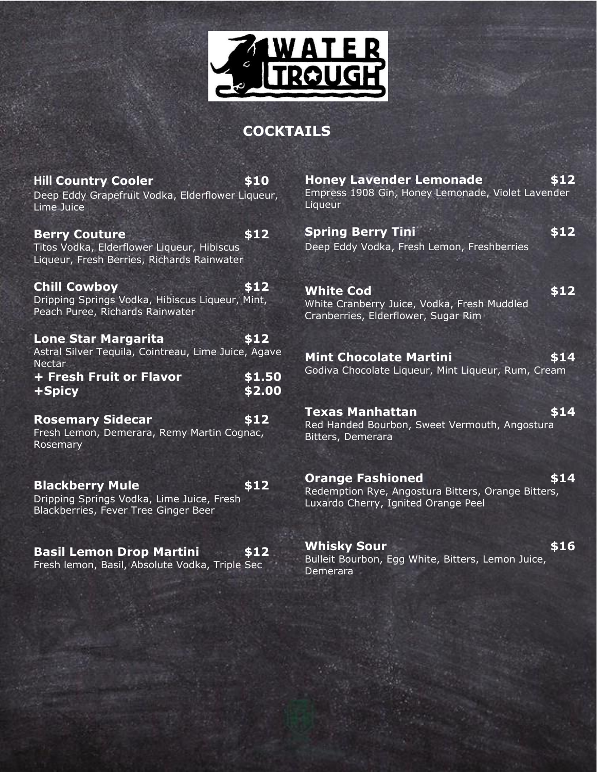

#### **COCKTAILS**

| <b>Hill Country Cooler</b><br>Deep Eddy Grapefruit Vodka, Elderflower Liqueur,<br>Lime Juice                     | \$10             |
|------------------------------------------------------------------------------------------------------------------|------------------|
| <b>Berry Couture</b><br>Titos Vodka, Elderflower Liqueur, Hibiscus<br>Liqueur, Fresh Berries, Richards Rainwater | \$12             |
| <b>Chill Cowboy</b><br>Dripping Springs Vodka, Hibiscus Liqueur, Mint,<br>Peach Puree, Richards Rainwater        | \$12             |
| <b>Lone Star Margarita</b><br>Astral Silver Tequila, Cointreau, Lime Juice, Agave                                | \$12             |
|                                                                                                                  |                  |
| <b>Nectar</b><br>+ Fresh Fruit or Flavor<br>+Spicy                                                               | \$1.50<br>\$2.00 |
| <b>Rosemary Sidecar</b><br>Fresh Lemon, Demerara, Remy Martin Cognac,<br>Rosemary                                | \$12             |
| <b>Blackberry Mule</b><br>Dripping Springs Vodka, Lime Juice, Fresh<br>Blackberries, Fever Tree Ginger Beer      | \$12             |

**Basil Lemon Drop Martini \$12** Fresh lemon, Basil, Absolute Vodka, Triple Sec

**Honey Lavender Lemonade \$12** Empress 1908 Gin, Honey Lemonade, Violet Lavender Liqueur

**Spring Berry Tini 612** Deep Eddy Vodka, Fresh Lemon, Freshberries

**White Cod** \$12 White Cranberry Juice, Vodka, Fresh Muddled Cranberries, Elderflower, Sugar Rim

**Mint Chocolate Martini 514** Godiva Chocolate Liqueur, Mint Liqueur, Rum, Cream

**Texas Manhattan \$14** Red Handed Bourbon, Sweet Vermouth, Angostura Bitters, Demerara

**Orange Fashioned \$14** Redemption Rye, Angostura Bitters, Orange Bitters, Luxardo Cherry, Ignited Orange Peel

**Whisky Sour** \$16 Bulleit Bourbon, Egg White, Bitters, Lemon Juice, Demerara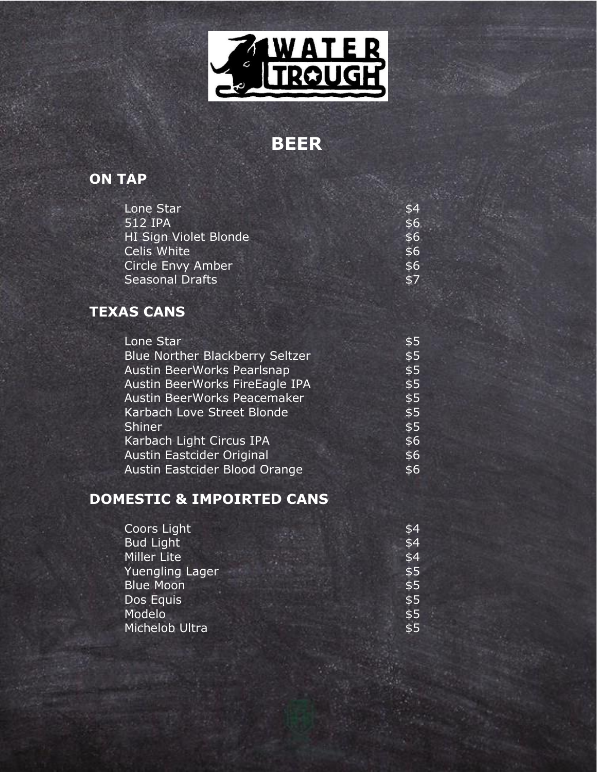

# **BEER**

#### **ON TAP**

| Lone Star              | \$4 |
|------------------------|-----|
| 512 IPA                | \$6 |
| HI Sign Violet Blonde  | \$6 |
| Celis White            | \$6 |
| Circle Envy Amber      | \$6 |
| <b>Seasonal Drafts</b> | \$7 |

### **TEXAS CANS**

| Lone Star                              | \$5 |
|----------------------------------------|-----|
| <b>Blue Norther Blackberry Seltzer</b> | \$5 |
| <b>Austin BeerWorks Pearlsnap</b>      | \$5 |
| Austin BeerWorks FireEagle IPA         | \$5 |
| Austin BeerWorks Peacemaker            | \$5 |
| Karbach Love Street Blonde             | \$5 |
| Shiner                                 | \$5 |
| Karbach Light Circus IPA               | \$6 |
| Austin Eastcider Original              | \$6 |
| Austin Eastcider Blood Orange          | \$6 |

#### **DOMESTIC & IMPOIRTED CANS**

| Coors Light      | $\overline{\$4}$ |
|------------------|------------------|
| <b>Bud Light</b> | \$4              |
| Miller Lite      | \$4              |
| Yuengling Lager  | \$5              |
| <b>Blue Moon</b> | \$5              |
| Dos Equis        | \$5              |
| Modelo           | \$5              |
| Michelob Ultra   | \$5              |
|                  |                  |